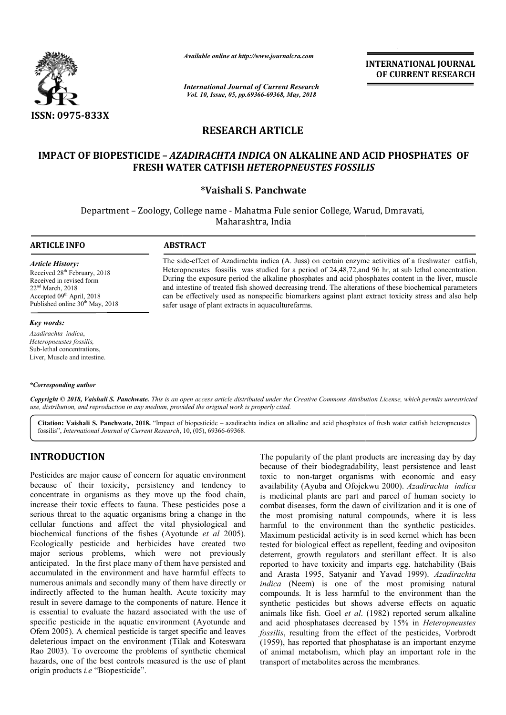

*Available online at http://www.journalcra.com*

*International Journal of Current Research Vol. 10, Issue, 05, pp.69366-69368, May, 2018*

**INTERNATIONAL JOURNAL OF CURRENT RESEARCH**

# **RESEARCH ARTICLE**

# **IMPACT OF BIOPESTICIDE - AZADIRACHTA INDICA ON ALKALINE AND ACID PHOSPHATES OF FRESH WATER CATFISH**  *HETEROPNEUSTES FOSSILIS HETEROPNEUSTES FOSSILIS*

## **\*Vaishali S. Panchwate**

Department - Zoology, College name - Mahatma Fule senior College, Warud, Dmravati, Maharashtra, India

safer usage of plant extracts in aquaculturefarms.

The side side-effect of Azadirachta indica (A. Juss) on certain enzyme activities of a freshwater catfish, Heteropneustes fossilis was studied for a period of 24,48,72, and 96 hr, at sub lethal concentration. The side-effect of Azadirachta indica (A. Juss) on certain enzyme activities of a freshwater catfish, Heteropneustes fossilis was studied for a period of 24,48,72, and 96 hr, at sub lethal concentration. During the exposur

and intestine of treated fish showed decreasing trend. The alterations of these biochemical parameters can be effectively used as nonspecific biomarkers against plant extract toxicity stress and also help

#### **ARTICLE INFO ABSTRACT**

*Article History:* Received 28<sup>th</sup> February, 2018 Received in revised form 22nd March, 2018 Accepted 09<sup>th</sup> April, 2018 Published online  $30<sup>th</sup>$  May,  $2018$ 

#### *Key words:*

*Azadirachta indica*, *Heteropneustes fossilis,* Sub-lethal concentrations, Liver, Muscle and intestine.

#### *\*Corresponding author*

Copyright © 2018, Vaishali S. Panchwate. This is an open access article distributed under the Creative Commons Attribution License, which permits unrestrictea *use, distribution, and reproduction in any medium, provided the original work is properly cited.*

Citation: Vaishali S. Panchwate, 2018. "Impact of biopesticide – azadirachta indica on alkaline and acid phosphates of fresh water catfish heteropneustes fossilis", *International Journal of Current Research*, 10, (05), 69366-69368.

## **INTRODUCTION**

Pesticides are major cause of concern for aquatic environment because of their toxicity, persistency and tendency to concentrate in organisms as they move up the food chain, increase their toxic effects to fauna. These pesticides pose a serious threat to the aquatic organisms bring a change in the cellular functions and affect the vital physiological and biochemical functions of the fishes (Ayotunde *et al* 2005). Ecologically pesticide and herbicides have created two major serious problems, which were not previously anticipated. In the first place many of them have persisted and accumulated in the environment and have harmful effects to numerous animals and secondly many of them have directly or indirectly affected to the human health. Acute toxicity may result in severe damage to the components of nature. Hence it is essential to evaluate the hazard associated with the use of specific pesticide in the aquatic environment (Ayotunde and Ofem 2005). A chemical pesticide is target specific and leaves deleterious impact on the environment (Tilak and Koteswara Rao 2003). To overcome the problems of synthetic chemical hazards, one of the best controls measured is the use of plant origin products *i.e* "Biopesticide". lace many of them<br>conment and have<br>condly many of the<br>explore the components<br>o the components

The popularity of the plant products are increasing day by day because of their biodegradability, least persistence and least toxic to non-target organisms with economic and easy availability (Ayuba and Ofojekwu 2000). Azadirachta indica is medicinal plants are part and parcel of human society to is medicinal plants are part and parcel of human society to combat diseases, form the dawn of civilization and it is one of the most promising natural compounds, where it is less harmful to the environment than the synthetic pesticides. Maximum pesticidal activity is in seed kernel which has been tested for biological effect as repellent, feeding and ovipo deterrent, growth regulators and sterillant effect. It is also reported to have toxicity and imparts egg. hatchability (Bais and Arasta 1995, Satyanir and Yavad 1999). Azadirachta *indica* (Neem) is one of the most promising natural compounds. It is less harmful to the environment than the synthetic pesticides but shows adverse effects on aquatic compounds. It is less harmful to the environment than the synthetic pesticides but shows adverse effects on aquatic animals like fish. Goel *et al.* (1982) reported serum alkaline and acid phosphatases decreased by 15% in *Heteropneustes*  fossilis, resulting from the effect of the pesticides, Vorbrodt (1959), has reported that phosphatase is an important enzyme of animal metabolism, which play an important role in the transport of metabolites across the membranes. The popularity of the plant products are increasing day by day because of their biodegradability, least persistence and least toxic to non-target organisms with economic and easy availability (Ayuba and Ofojekwu 2000). *Az* ral compounds, where it is less<br>ent than the synthetic pesticides.<br>ty is in seed kernel which has been<br>as repellent, feeding and ovipositon INTEERNATIONAL JOURNAL<br> **EXECUTE ACTES (DEFINITE ACTE)**<br> **EXECUTE ALEXALINE AND ACID PHOSPHATES OF**<br> **ALEXALINE AND ACID PHOSPHATES OF**<br> **ALEXALINE AND ACID PHOSPHATES OF**<br> **ALEXALINE AND ACID PHOSPHATES OF**<br> **ALEXALINE A**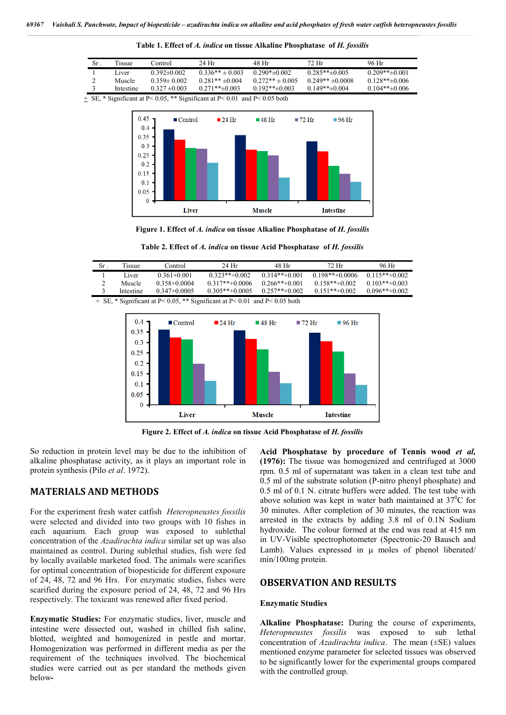| Sr. | Tissue    | Control           | 24 Hr             | 48 Hr              | 72. Hr             | 96 Hr           |
|-----|-----------|-------------------|-------------------|--------------------|--------------------|-----------------|
|     | Liver     | $0.392\pm0.002$   | $0.336** + 0.003$ | $0.290* \pm 0.002$ | $0.285**+0.005$    | $0.209**+0.001$ |
|     | Muscle    | $0.359 \pm 0.002$ | $0.281**+0.004$   | $0.272** + 0.005$  | $0.249** + 0.0008$ | $0.128**+0.006$ |
|     | Intestine | $0.327 \pm 0.003$ | $0.271**+0.003$   | $0.192**+0.003$    | $0.149**+0.004$    | $0.104**+0.006$ |

**Table 1. Effect of** *A. indica* **on tissue Alkaline Phosphatase of** *H. fossilis*

 $+$  SE, \* Significant at P< 0.05, \*\* Significant at P< 0.01 and P< 0.05 both



**Figure 1. Effect of** *A. indica* **on tissue Alkaline Phosphatase of** *H. fossilis*

**Table 2. Effect of** *A. indica* **on tissue Acid Phosphatase of** *H. fossilis*

| Sr | Tissue    | Control          | 24 Hr             | 48 Hr            | 72 Hr             | 96 Hr            |  |  |  |  |
|----|-----------|------------------|-------------------|------------------|-------------------|------------------|--|--|--|--|
|    | Liver     | $0.361 + 0.001$  | $0.323***+0.002$  | $0.314**+0.001$  | $0.198***+0.0006$ | $0.115***+0.002$ |  |  |  |  |
|    | Muscle    | $0.358 + 0.0004$ | $0.317***+0.0006$ | $0.266***+0.001$ | $0.158***+0.002$  | $0.103$ **+0.003 |  |  |  |  |
|    | Intestine | $0.347 + 0.0005$ | $0.305***+0.0005$ | $0.257**+0.002$  | $0.151**+0.002$   | $0.096***+0.002$ |  |  |  |  |
|    |           |                  |                   |                  |                   |                  |  |  |  |  |

+ SE, \* Significant at P< 0.05, \*\* Significant at P< 0.01 and P< 0.05 both



**Figure 2. Effect of** *A. indica* **on tissue Acid Phosphatase of** *H. fossilis*

So reduction in protein level may be due to the inhibition of alkaline phosphatase activity, as it plays an important role in protein synthesis (Pilo *et al*. 1972).

## **MATERIALS AND METHODS**

For the experiment fresh water catfish *Heteropneustes fossilis*  were selected and divided into two groups with 10 fishes in each aquarium. Each group was exposed to sublethal concentration of the *Azadirachta indica* similar set up was also maintained as control. During sublethal studies, fish were fed by locally available marketed food. The animals were scarifies for optimal concentration of biopesticide for different exposure of 24, 48, 72 and 96 Hrs. For enzymatic studies, fishes were scarified during the exposure period of 24, 48, 72 and 96 Hrs respectively. The toxicant was renewed after fixed period.

**Enzymatic Studies:** For enzymatic studies, liver, muscle and intestine were dissected out, washed in chilled fish saline, blotted, weighted and homogenized in pestle and mortar. Homogenization was performed in different media as per the requirement of the techniques involved. The biochemical studies were carried out as per standard the methods given below**-** **Acid Phosphatase by procedure of Tennis wood** *et al,* **(1976):** The tissue was homogenized and centrifuged at 3000 rpm. 0.5 ml of supernatant was taken in a clean test tube and 0.5 ml of the substrate solution (P-nitro phenyl phosphate) and 0.5 ml of 0.1 N. citrate buffers were added. The test tube with above solution was kept in water bath maintained at  $37^{\circ}$ C for 30 minutes. After completion of 30 minutes, the reaction was arrested in the extracts by adding 3.8 ml of 0.1N Sodium hydroxide. The colour formed at the end was read at 415 nm in UV-Visible spectrophotometer (Spectronic-20 Bausch and Lamb). Values expressed in  $\mu$  moles of phenol liberated/ min/100mg protein.

## **OBSERVATION AND RESULTS**

#### **Enzymatic Studies**

**Alkaline Phosphatase:** During the course of experiments, *Heteropneustes fossilis* was exposed to sub lethal concentration of *Azadirachta indica*. The mean (±SE) values mentioned enzyme parameter for selected tissues was observed to be significantly lower for the experimental groups compared with the controlled group.